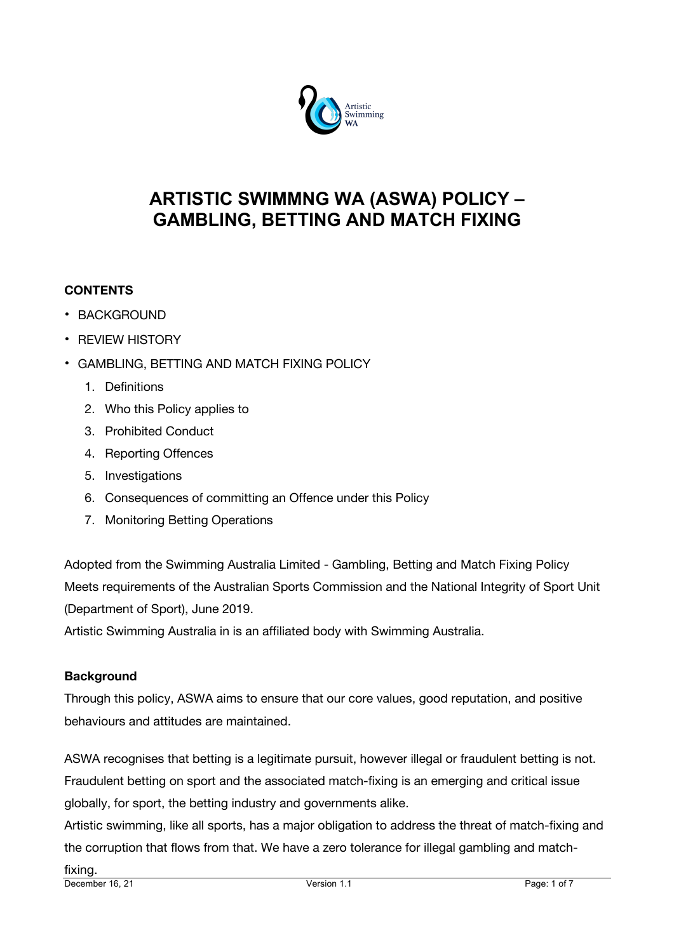

## **ARTISTIC SWIMMNG WA (ASWA) POLICY – GAMBLING, BETTING AND MATCH FIXING**

## **CONTENTS**

- BACKGROUND
- REVIEW HISTORY
- GAMBLING, BETTING AND MATCH FIXING POLICY
	- 1. Definitions
	- 2. Who this Policy applies to
	- 3. Prohibited Conduct
	- 4. Reporting Offences
	- 5. Investigations
	- 6. Consequences of committing an Offence under this Policy
	- 7. Monitoring Betting Operations

Adopted from the Swimming Australia Limited - Gambling, Betting and Match Fixing Policy Meets requirements of the Australian Sports Commission and the National Integrity of Sport Unit (Department of Sport), June 2019.

Artistic Swimming Australia in is an affiliated body with Swimming Australia.

## **Background**

Through this policy, ASWA aims to ensure that our core values, good reputation, and positive behaviours and attitudes are maintained.

ASWA recognises that betting is a legitimate pursuit, however illegal or fraudulent betting is not. Fraudulent betting on sport and the associated match-fixing is an emerging and critical issue globally, for sport, the betting industry and governments alike.

Artistic swimming, like all sports, has a major obligation to address the threat of match-fixing and the corruption that flows from that. We have a zero tolerance for illegal gambling and match-

December 16, 21 Version 1.1 Page: 1 of 7 fixing.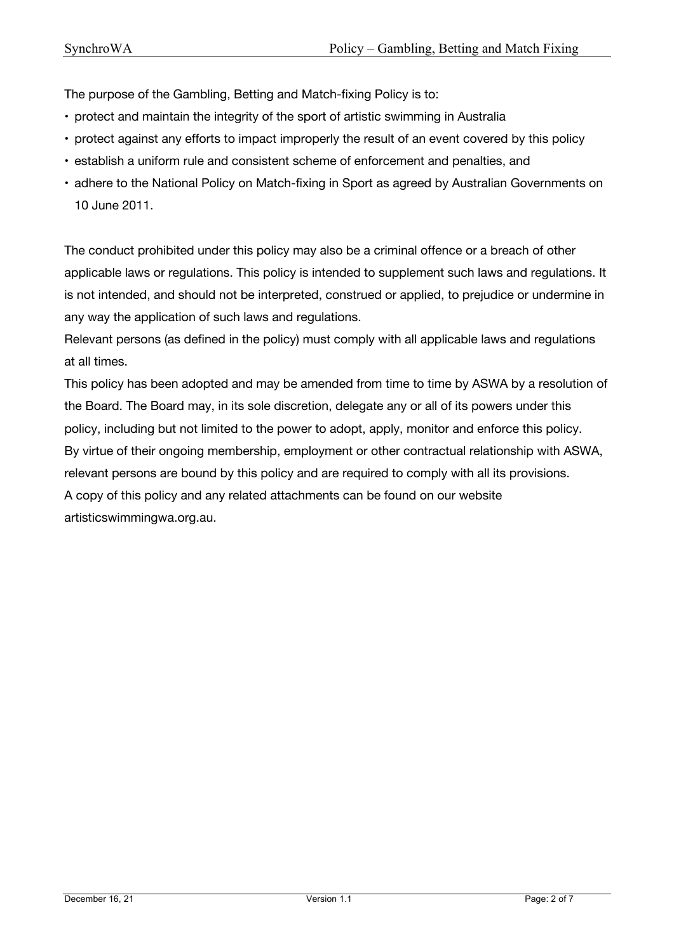The purpose of the Gambling, Betting and Match-fixing Policy is to:

- protect and maintain the integrity of the sport of artistic swimming in Australia
- protect against any efforts to impact improperly the result of an event covered by this policy
- establish a uniform rule and consistent scheme of enforcement and penalties, and
- adhere to the National Policy on Match-fixing in Sport as agreed by Australian Governments on 10 June 2011.

The conduct prohibited under this policy may also be a criminal offence or a breach of other applicable laws or regulations. This policy is intended to supplement such laws and regulations. It is not intended, and should not be interpreted, construed or applied, to prejudice or undermine in any way the application of such laws and regulations.

Relevant persons (as defined in the policy) must comply with all applicable laws and regulations at all times.

This policy has been adopted and may be amended from time to time by ASWA by a resolution of the Board. The Board may, in its sole discretion, delegate any or all of its powers under this policy, including but not limited to the power to adopt, apply, monitor and enforce this policy. By virtue of their ongoing membership, employment or other contractual relationship with ASWA, relevant persons are bound by this policy and are required to comply with all its provisions. A copy of this policy and any related attachments can be found on our website artisticswimmingwa.org.au.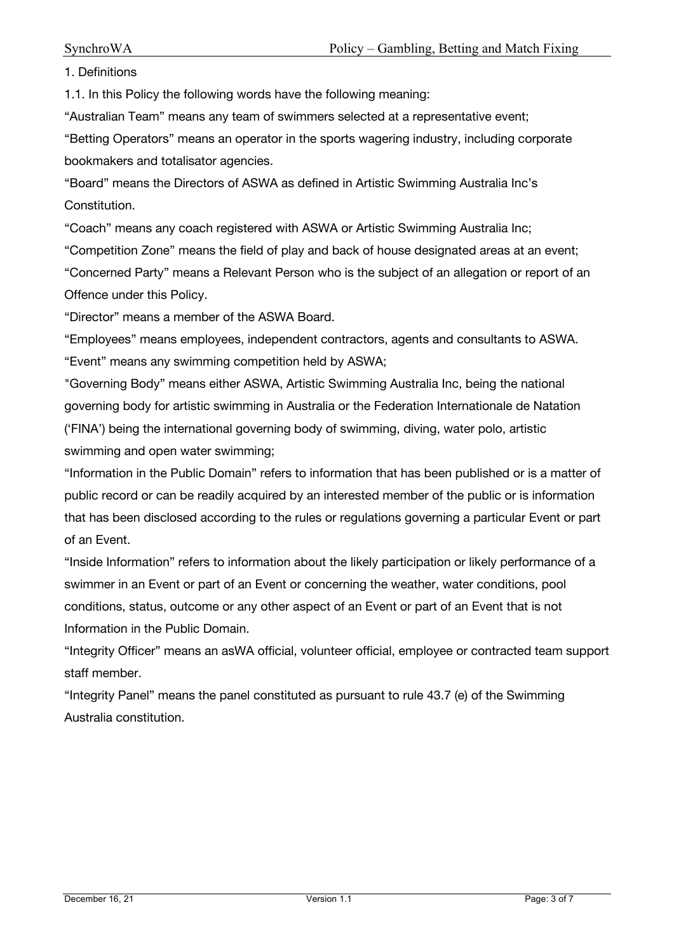1. Definitions

1.1. In this Policy the following words have the following meaning:

"Australian Team" means any team of swimmers selected at a representative event;

"Betting Operators" means an operator in the sports wagering industry, including corporate bookmakers and totalisator agencies.

"Board" means the Directors of ASWA as defined in Artistic Swimming Australia Inc's Constitution.

"Coach" means any coach registered with ASWA or Artistic Swimming Australia Inc;

"Competition Zone" means the field of play and back of house designated areas at an event;

"Concerned Party" means a Relevant Person who is the subject of an allegation or report of an Offence under this Policy.

"Director" means a member of the ASWA Board.

"Employees" means employees, independent contractors, agents and consultants to ASWA. "Event" means any swimming competition held by ASWA;

"Governing Body" means either ASWA, Artistic Swimming Australia Inc, being the national governing body for artistic swimming in Australia or the Federation Internationale de Natation ('FINA') being the international governing body of swimming, diving, water polo, artistic swimming and open water swimming;

"Information in the Public Domain" refers to information that has been published or is a matter of public record or can be readily acquired by an interested member of the public or is information that has been disclosed according to the rules or regulations governing a particular Event or part of an Event.

"Inside Information" refers to information about the likely participation or likely performance of a swimmer in an Event or part of an Event or concerning the weather, water conditions, pool conditions, status, outcome or any other aspect of an Event or part of an Event that is not Information in the Public Domain.

"Integrity Officer" means an asWA official, volunteer official, employee or contracted team support staff member.

"Integrity Panel" means the panel constituted as pursuant to rule 43.7 (e) of the Swimming Australia constitution.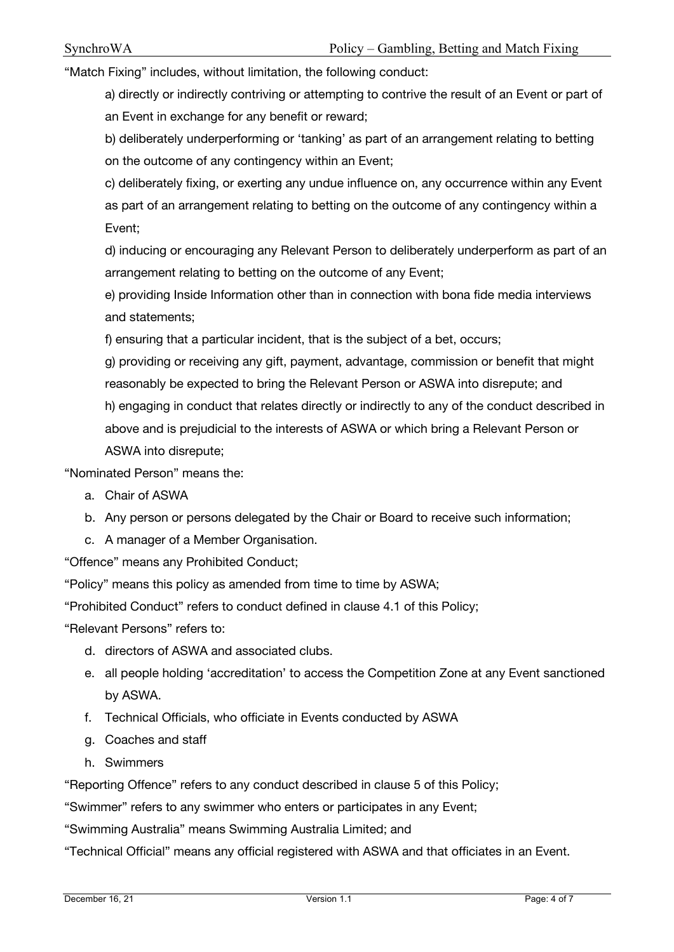"Match Fixing" includes, without limitation, the following conduct:

a) directly or indirectly contriving or attempting to contrive the result of an Event or part of an Event in exchange for any benefit or reward;

b) deliberately underperforming or 'tanking' as part of an arrangement relating to betting on the outcome of any contingency within an Event;

c) deliberately fixing, or exerting any undue influence on, any occurrence within any Event as part of an arrangement relating to betting on the outcome of any contingency within a Event;

d) inducing or encouraging any Relevant Person to deliberately underperform as part of an arrangement relating to betting on the outcome of any Event;

e) providing Inside Information other than in connection with bona fide media interviews and statements;

f) ensuring that a particular incident, that is the subject of a bet, occurs;

g) providing or receiving any gift, payment, advantage, commission or benefit that might reasonably be expected to bring the Relevant Person or ASWA into disrepute; and

h) engaging in conduct that relates directly or indirectly to any of the conduct described in above and is prejudicial to the interests of ASWA or which bring a Relevant Person or ASWA into disrepute;

"Nominated Person" means the:

- a. Chair of ASWA
- b. Any person or persons delegated by the Chair or Board to receive such information;
- c. A manager of a Member Organisation.

"Offence" means any Prohibited Conduct;

"Policy" means this policy as amended from time to time by ASWA;

"Prohibited Conduct" refers to conduct defined in clause 4.1 of this Policy;

"Relevant Persons" refers to:

- d. directors of ASWA and associated clubs.
- e. all people holding 'accreditation' to access the Competition Zone at any Event sanctioned by ASWA.
- f. Technical Officials, who officiate in Events conducted by ASWA
- g. Coaches and staff
- h. Swimmers

"Reporting Offence" refers to any conduct described in clause 5 of this Policy;

"Swimmer" refers to any swimmer who enters or participates in any Event;

"Swimming Australia" means Swimming Australia Limited; and

"Technical Official" means any official registered with ASWA and that officiates in an Event.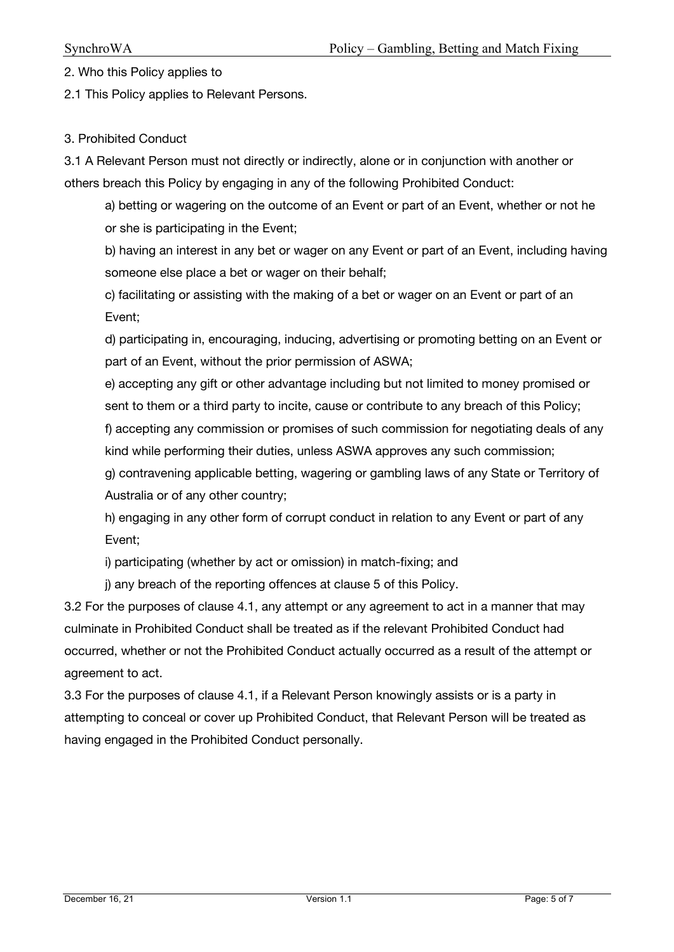2. Who this Policy applies to

2.1 This Policy applies to Relevant Persons.

## 3. Prohibited Conduct

3.1 A Relevant Person must not directly or indirectly, alone or in conjunction with another or others breach this Policy by engaging in any of the following Prohibited Conduct:

a) betting or wagering on the outcome of an Event or part of an Event, whether or not he or she is participating in the Event;

b) having an interest in any bet or wager on any Event or part of an Event, including having someone else place a bet or wager on their behalf;

c) facilitating or assisting with the making of a bet or wager on an Event or part of an Event;

d) participating in, encouraging, inducing, advertising or promoting betting on an Event or part of an Event, without the prior permission of ASWA;

e) accepting any gift or other advantage including but not limited to money promised or sent to them or a third party to incite, cause or contribute to any breach of this Policy; f) accepting any commission or promises of such commission for negotiating deals of any

kind while performing their duties, unless ASWA approves any such commission;

g) contravening applicable betting, wagering or gambling laws of any State or Territory of Australia or of any other country;

h) engaging in any other form of corrupt conduct in relation to any Event or part of any Event;

i) participating (whether by act or omission) in match-fixing; and

j) any breach of the reporting offences at clause 5 of this Policy.

3.2 For the purposes of clause 4.1, any attempt or any agreement to act in a manner that may culminate in Prohibited Conduct shall be treated as if the relevant Prohibited Conduct had occurred, whether or not the Prohibited Conduct actually occurred as a result of the attempt or agreement to act.

3.3 For the purposes of clause 4.1, if a Relevant Person knowingly assists or is a party in attempting to conceal or cover up Prohibited Conduct, that Relevant Person will be treated as having engaged in the Prohibited Conduct personally.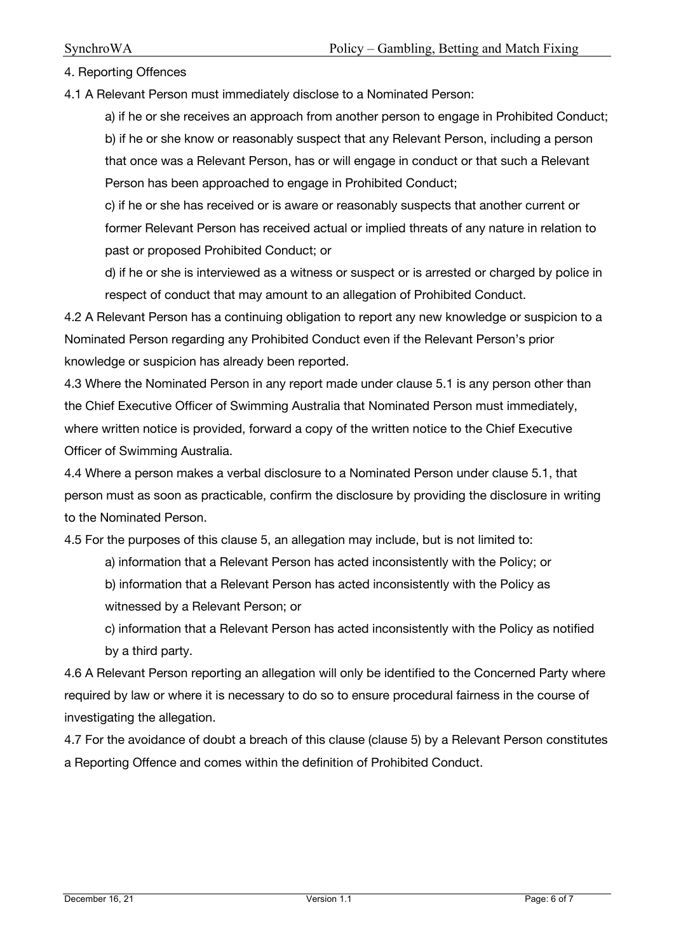4. Reporting Offences

4.1 A Relevant Person must immediately disclose to a Nominated Person:

a) if he or she receives an approach from another person to engage in Prohibited Conduct; b) if he or she know or reasonably suspect that any Relevant Person, including a person

that once was a Relevant Person, has or will engage in conduct or that such a Relevant Person has been approached to engage in Prohibited Conduct;

c) if he or she has received or is aware or reasonably suspects that another current or former Relevant Person has received actual or implied threats of any nature in relation to past or proposed Prohibited Conduct; or

d) if he or she is interviewed as a witness or suspect or is arrested or charged by police in respect of conduct that may amount to an allegation of Prohibited Conduct.

4.2 A Relevant Person has a continuing obligation to report any new knowledge or suspicion to a Nominated Person regarding any Prohibited Conduct even if the Relevant Person's prior knowledge or suspicion has already been reported.

4.3 Where the Nominated Person in any report made under clause 5.1 is any person other than the Chief Executive Officer of Swimming Australia that Nominated Person must immediately, where written notice is provided, forward a copy of the written notice to the Chief Executive Officer of Swimming Australia.

4.4 Where a person makes a verbal disclosure to a Nominated Person under clause 5.1, that person must as soon as practicable, confirm the disclosure by providing the disclosure in writing to the Nominated Person.

4.5 For the purposes of this clause 5, an allegation may include, but is not limited to:

- a) information that a Relevant Person has acted inconsistently with the Policy; or
- b) information that a Relevant Person has acted inconsistently with the Policy as witnessed by a Relevant Person; or
- c) information that a Relevant Person has acted inconsistently with the Policy as notified by a third party.

4.6 A Relevant Person reporting an allegation will only be identified to the Concerned Party where required by law or where it is necessary to do so to ensure procedural fairness in the course of investigating the allegation.

4.7 For the avoidance of doubt a breach of this clause (clause 5) by a Relevant Person constitutes a Reporting Offence and comes within the definition of Prohibited Conduct.